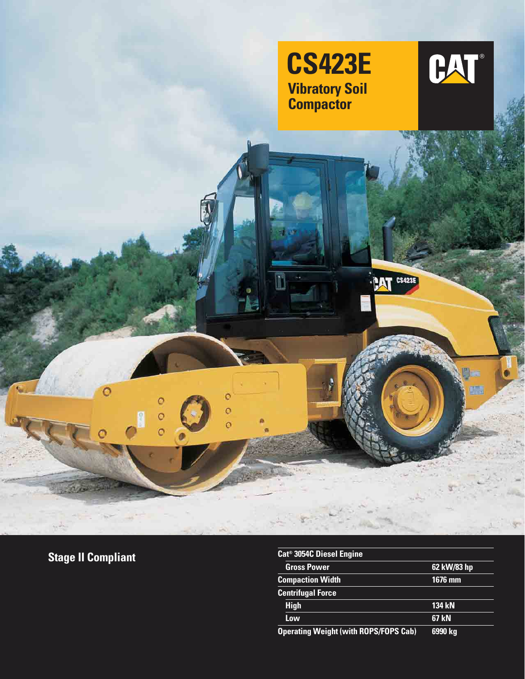

M

ö

 $\circ$ 



動

顧

**PAT** CS423E

**Stage II Compliant**

О

O

 $\circ$  $\circ$ 

| Cat <sup>®</sup> 3054C Diesel Engine         |               |
|----------------------------------------------|---------------|
| <b>Gross Power</b>                           | 62 kW/83 hp   |
| <b>Compaction Width</b>                      | 1676 mm       |
| <b>Centrifugal Force</b>                     |               |
| <b>High</b>                                  | <b>134 kN</b> |
| Low                                          | 67 kN         |
| <b>Operating Weight (with ROPS/FOPS Cab)</b> | 6990 kg       |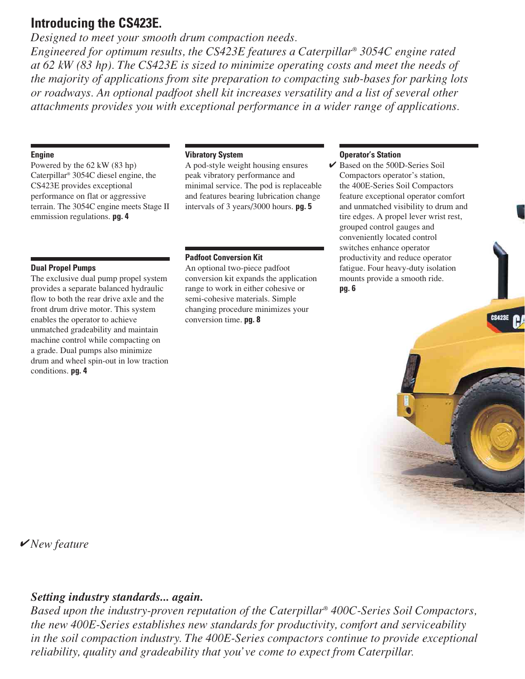## **Introducing the CS423E.**

*Designed to meet your smooth drum compaction needs. Engineered for optimum results, the CS423E features a Caterpillar® 3054C engine rated at 62 kW (83 hp). The CS423E is sized to minimize operating costs and meet the needs of the majority of applications from site preparation to compacting sub-bases for parking lots or roadways. An optional padfoot shell kit increases versatility and a list of several other attachments provides you with exceptional performance in a wider range of applications.*

#### **Engine**

Powered by the 62 kW (83 hp) Caterpillar® 3054C diesel engine, the CS423E provides exceptional performance on flat or aggressive terrain. The 3054C engine meets Stage II emmission regulations. **pg. 4**

## **Dual Propel Pumps**

The exclusive dual pump propel system provides a separate balanced hydraulic flow to both the rear drive axle and the front drum drive motor. This system enables the operator to achieve unmatched gradeability and maintain machine control while compacting on a grade. Dual pumps also minimize drum and wheel spin-out in low traction conditions. **pg. 4**

#### **Vibratory System**

A pod-style weight housing ensures peak vibratory performance and minimal service. The pod is replaceable and features bearing lubrication change intervals of 3 years/3000 hours. **pg. 5**

#### **Padfoot Conversion Kit**

An optional two-piece padfoot conversion kit expands the application range to work in either cohesive or semi-cohesive materials. Simple changing procedure minimizes your conversion time. **pg. 8**

#### **Operator's Station**

 $\triangleright$  Based on the 500D-Series Soil Compactors operator's station, the 400E-Series Soil Compactors feature exceptional operator comfort and unmatched visibility to drum and tire edges. A propel lever wrist rest, grouped control gauges and conveniently located control switches enhance operator productivity and reduce operator fatigue. Four heavy-duty isolation mounts provide a smooth ride. **pg. 6**

# ✔ *New feature*

## *Setting industry standards... again.*

*Based upon the industry-proven reputation of the Caterpillar® 400C-Series Soil Compactors, the new 400E-Series establishes new standards for productivity, comfort and serviceability in the soil compaction industry. The 400E-Series compactors continue to provide exceptional reliability, quality and gradeability that you've come to expect from Caterpillar.*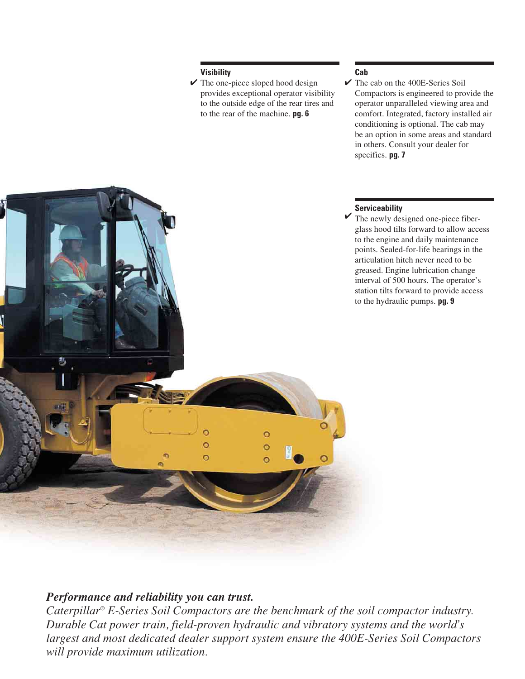#### **Visibility**

 $\vee$  The one-piece sloped hood design  $\vee$ provides exceptional operator visibility to the outside edge of the rear tires and to the rear of the machine. **pg. 6**

## **Cab**

 $\checkmark$  The cab on the 400E-Series Soil Compactors is engineered to provide the operator unparalleled viewing area and comfort. Integrated, factory installed air conditioning is optional. The cab may be an option in some areas and standard in others. Consult your dealer for specifics. **pg. 7**

## **Serviceability**

✔ The newly designed one-piece fiberglass hood tilts forward to allow access to the engine and daily maintenance points. Sealed-for-life bearings in the articulation hitch never need to be greased. Engine lubrication change interval of 500 hours. The operator's station tilts forward to provide access to the hydraulic pumps. **pg. 9**

# $\overline{O}$  $\circ$  $\circ$  $\overline{\circ}$

## *Performance and reliability you can trust.*

*Caterpillar® E-Series Soil Compactors are the benchmark of the soil compactor industry. Durable Cat power train, field-proven hydraulic and vibratory systems and the world's largest and most dedicated dealer support system ensure the 400E-Series Soil Compactors will provide maximum utilization.*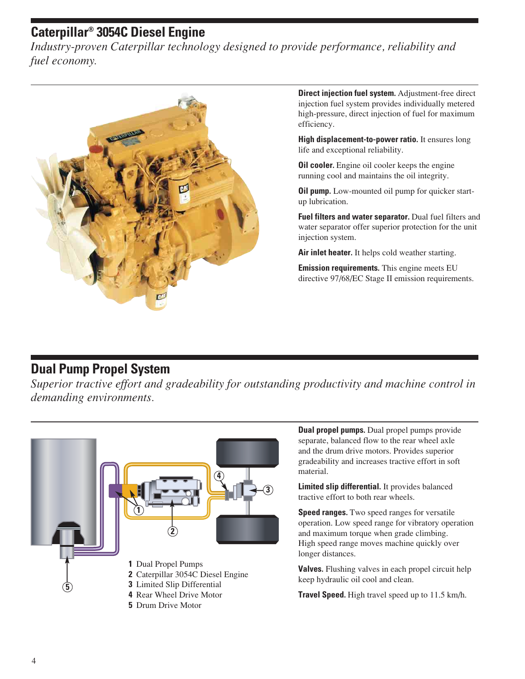# **Caterpillar® 3054C Diesel Engine**

*Industry-proven Caterpillar technology designed to provide performance, reliability and fuel economy.*



**Direct injection fuel system.** Adjustment-free direct injection fuel system provides individually metered high-pressure, direct injection of fuel for maximum efficiency.

**High displacement-to-power ratio.** It ensures long life and exceptional reliability.

**Oil cooler.** Engine oil cooler keeps the engine running cool and maintains the oil integrity.

**Oil pump.** Low-mounted oil pump for quicker startup lubrication.

**Fuel filters and water separator.** Dual fuel filters and water separator offer superior protection for the unit injection system.

**Air inlet heater.** It helps cold weather starting.

**Emission requirements.** This engine meets EU directive 97/68/EC Stage II emission requirements.

## **Dual Pump Propel System**

*Superior tractive effort and gradeability for outstanding productivity and machine control in demanding environments.*



**Dual propel pumps.** Dual propel pumps provide separate, balanced flow to the rear wheel axle and the drum drive motors. Provides superior gradeability and increases tractive effort in soft material.

**Limited slip differential.** It provides balanced tractive effort to both rear wheels.

**Speed ranges.** Two speed ranges for versatile operation. Low speed range for vibratory operation and maximum torque when grade climbing. High speed range moves machine quickly over longer distances.

**Valves.** Flushing valves in each propel circuit help keep hydraulic oil cool and clean.

**Travel Speed.** High travel speed up to 11.5 km/h.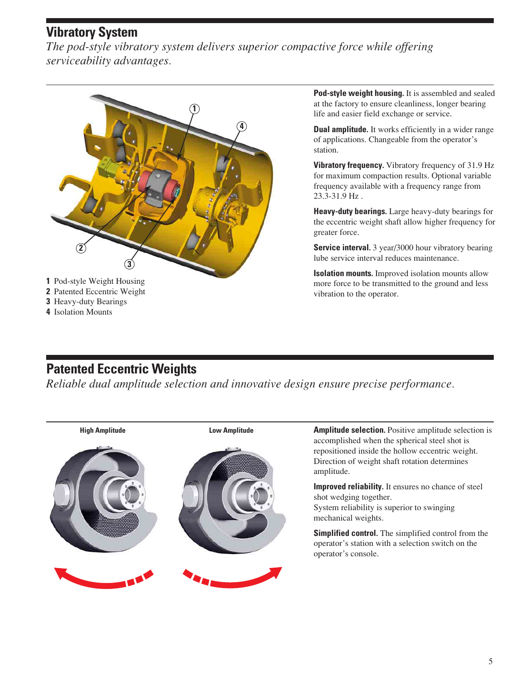## **Vibratory System**

*The pod-style vibratory system delivers superior compactive force while offering serviceability advantages.*



**4** Isolation Mounts

**Pod-style weight housing.** It is assembled and sealed at the factory to ensure cleanliness, longer bearing life and easier field exchange or service.

**Dual amplitude.** It works efficiently in a wider range of applications. Changeable from the operator's station.

**Vibratory frequency.** Vibratory frequency of 31.9 Hz for maximum compaction results. Optional variable frequency available with a frequency range from 23.3-31.9 Hz .

**Heavy-duty bearings.** Large heavy-duty bearings for the eccentric weight shaft allow higher frequency for greater force.

**Service interval.** 3 year/3000 hour vibratory bearing lube service interval reduces maintenance.

**Isolation mounts.** Improved isolation mounts allow more force to be transmitted to the ground and less vibration to the operator.

# **Patented Eccentric Weights**

*Reliable dual amplitude selection and innovative design ensure precise performance.*

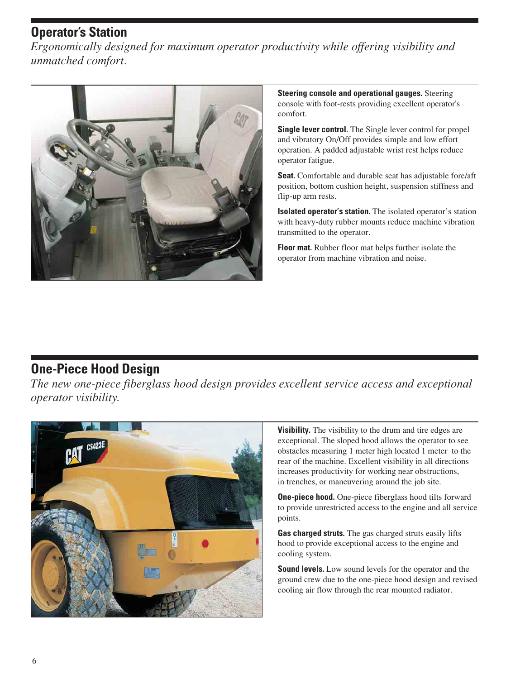# **Operator's Station**

*Ergonomically designed for maximum operator productivity while offering visibility and unmatched comfort.*



**Steering console and operational gauges.** Steering console with foot-rests providing excellent operator's comfort.

**Single lever control.** The Single lever control for propel and vibratory On/Off provides simple and low effort operation. A padded adjustable wrist rest helps reduce operator fatigue.

**Seat.** Comfortable and durable seat has adjustable fore/aft position, bottom cushion height, suspension stiffness and flip-up arm rests.

**Isolated operator's station.** The isolated operator's station with heavy-duty rubber mounts reduce machine vibration transmitted to the operator.

**Floor mat.** Rubber floor mat helps further isolate the operator from machine vibration and noise.

## **One-Piece Hood Design**

*The new one-piece fiberglass hood design provides excellent service access and exceptional operator visibility.*



**Visibility.** The visibility to the drum and tire edges are exceptional. The sloped hood allows the operator to see obstacles measuring 1 meter high located 1 meter to the rear of the machine. Excellent visibility in all directions increases productivity for working near obstructions, in trenches, or maneuvering around the job site.

**One-piece hood.** One-piece fiberglass hood tilts forward to provide unrestricted access to the engine and all service points.

**Gas charged struts.** The gas charged struts easily lifts hood to provide exceptional access to the engine and cooling system.

**Sound levels.** Low sound levels for the operator and the ground crew due to the one-piece hood design and revised cooling air flow through the rear mounted radiator.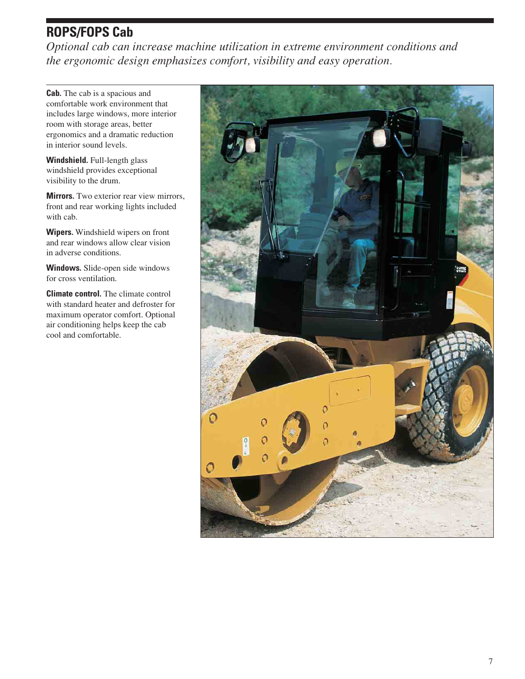# **ROPS/FOPS Cab**

*Optional cab can increase machine utilization in extreme environment conditions and the ergonomic design emphasizes comfort, visibility and easy operation.*

**Cab.** The cab is a spacious and comfortable work environment that includes large windows, more interior room with storage areas, better ergonomics and a dramatic reduction in interior sound levels.

**Windshield.** Full-length glass windshield provides exceptional visibility to the drum.

**Mirrors.** Two exterior rear view mirrors, front and rear working lights included with cab.

**Wipers.** Windshield wipers on front and rear windows allow clear vision in adverse conditions.

**Windows.** Slide-open side windows for cross ventilation.

**Climate control.** The climate control with standard heater and defroster for maximum operator comfort. Optional air conditioning helps keep the cab cool and comfortable.

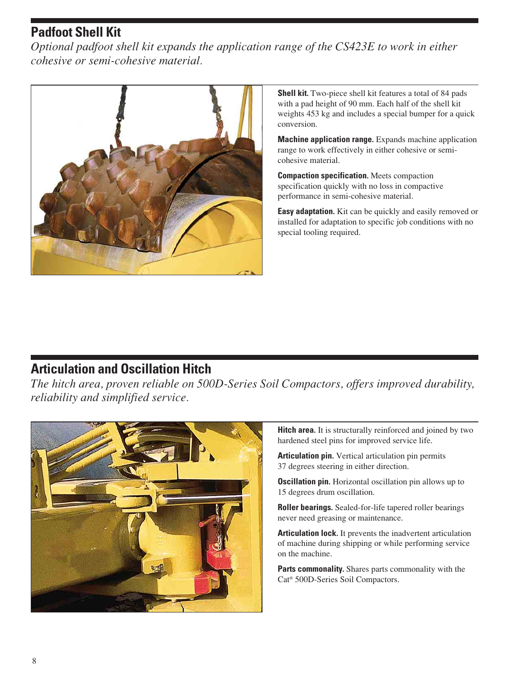# **Padfoot Shell Kit**

*Optional padfoot shell kit expands the application range of the CS423E to work in either cohesive or semi-cohesive material.*



**Shell kit.** Two-piece shell kit features a total of 84 pads with a pad height of 90 mm. Each half of the shell kit weights 453 kg and includes a special bumper for a quick conversion.

**Machine application range.** Expands machine application range to work effectively in either cohesive or semicohesive material.

**Compaction specification.** Meets compaction specification quickly with no loss in compactive performance in semi-cohesive material.

**Easy adaptation.** Kit can be quickly and easily removed or installed for adaptation to specific job conditions with no special tooling required.

## **Articulation and Oscillation Hitch**

*The hitch area, proven reliable on 500D-Series Soil Compactors, offers improved durability, reliability and simplified service.*



**Hitch area.** It is structurally reinforced and joined by two hardened steel pins for improved service life.

**Articulation pin.** Vertical articulation pin permits 37 degrees steering in either direction.

**Oscillation pin.** Horizontal oscillation pin allows up to 15 degrees drum oscillation.

**Roller bearings.** Sealed-for-life tapered roller bearings never need greasing or maintenance.

**Articulation lock.** It prevents the inadvertent articulation of machine during shipping or while performing service on the machine.

**Parts commonality.** Shares parts commonality with the Cat® 500D-Series Soil Compactors.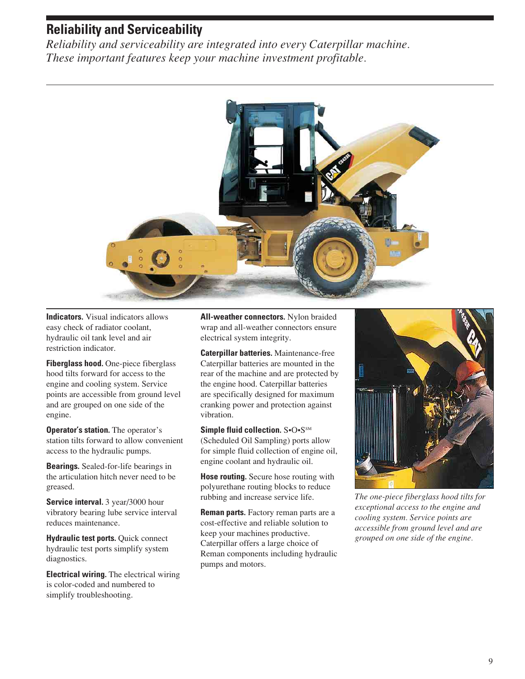## **Reliability and Serviceability**

*Reliability and serviceability are integrated into every Caterpillar machine. These important features keep your machine investment profitable.*



**Indicators.** Visual indicators allows easy check of radiator coolant, hydraulic oil tank level and air restriction indicator.

**Fiberglass hood.** One-piece fiberglass hood tilts forward for access to the engine and cooling system. Service points are accessible from ground level and are grouped on one side of the engine.

**Operator's station.** The operator's station tilts forward to allow convenient access to the hydraulic pumps.

**Bearings.** Sealed-for-life bearings in the articulation hitch never need to be greased.

**Service interval.** 3 year/3000 hour vibratory bearing lube service interval reduces maintenance.

**Hydraulic test ports.** Quick connect hydraulic test ports simplify system diagnostics.

**Electrical wiring.** The electrical wiring is color-coded and numbered to simplify troubleshooting.

**All-weather connectors.** Nylon braided wrap and all-weather connectors ensure electrical system integrity.

**Caterpillar batteries.** Maintenance-free Caterpillar batteries are mounted in the rear of the machine and are protected by the engine hood. Caterpillar batteries are specifically designed for maximum cranking power and protection against vibration.

**Simple fluid collection.** S•O•S<sup>SM</sup> (Scheduled Oil Sampling) ports allow for simple fluid collection of engine oil, engine coolant and hydraulic oil.

**Hose routing.** Secure hose routing with polyurethane routing blocks to reduce rubbing and increase service life.

**Reman parts.** Factory reman parts are a cost-effective and reliable solution to keep your machines productive. Caterpillar offers a large choice of Reman components including hydraulic pumps and motors.



*The one-piece fiberglass hood tilts for exceptional access to the engine and cooling system. Service points are accessible from ground level and are grouped on one side of the engine.*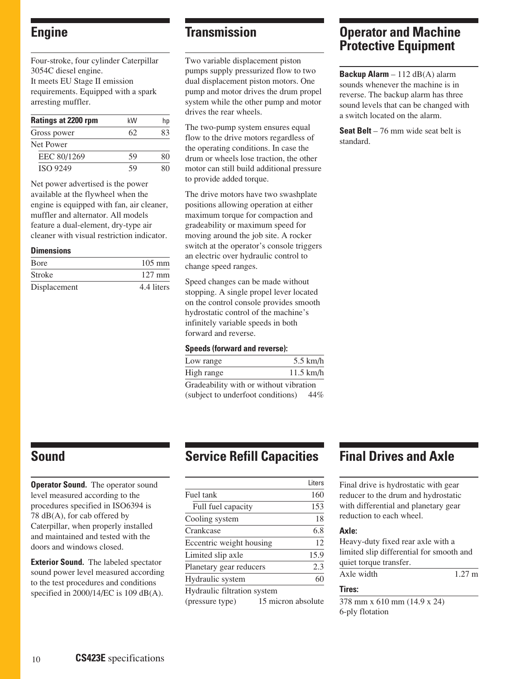## **Engine**

Four-stroke, four cylinder Caterpillar 3054C diesel engine. It meets EU Stage II emission requirements. Equipped with a spark arresting muffler.

| Ratings at 2200 rpm | kW | hp |
|---------------------|----|----|
| Gross power         | 62 | 83 |
| Net Power           |    |    |
| EEC 80/1269         | 59 | 80 |
| <b>ISO 9249</b>     |    |    |

Net power advertised is the power available at the flywheel when the engine is equipped with fan, air cleaner, muffler and alternator. All models feature a dual-element, dry-type air cleaner with visual restriction indicator.

#### **Dimensions**

| <b>B</b> ore  | $105 \text{ mm}$ |
|---------------|------------------|
| <b>Stroke</b> | $127 \text{ mm}$ |
| Displacement  | 4.4 liters       |

## **Transmission**

Two variable displacement piston pumps supply pressurized flow to two dual displacement piston motors. One pump and motor drives the drum propel system while the other pump and motor drives the rear wheels.

The two-pump system ensures equal flow to the drive motors regardless of the operating conditions. In case the drum or wheels lose traction, the other motor can still build additional pressure to provide added torque.

The drive motors have two swashplate positions allowing operation at either maximum torque for compaction and gradeability or maximum speed for moving around the job site. A rocker switch at the operator's console triggers an electric over hydraulic control to change speed ranges.

Speed changes can be made without stopping. A single propel lever located on the control console provides smooth hydrostatic control of the machine's infinitely variable speeds in both forward and reverse.

#### **Speeds (forward and reverse):**

| Low range                              | $5.5$ km/h  |
|----------------------------------------|-------------|
| High range                             | $11.5$ km/h |
| Gradeability with or without vibration |             |

(subject to underfoot conditions) 44%

**Operator and Machine Protective Equipment**

**Backup Alarm** – 112 dB(A) alarm sounds whenever the machine is in reverse. The backup alarm has three sound levels that can be changed with a switch located on the alarm.

**Seat Belt** – 76 mm wide seat belt is standard.

## **Sound**

**Operator Sound.** The operator sound level measured according to the procedures specified in ISO6394 is 78 dB(A), for cab offered by Caterpillar, when properly installed and maintained and tested with the doors and windows closed.

**Exterior Sound.** The labeled spectator sound power level measured according to the test procedures and conditions specified in 2000/14/EC is 109 dB(A).

## **Service Refill Capacities**

|                             | Liters             |  |
|-----------------------------|--------------------|--|
| Fuel tank                   | 160                |  |
| Full fuel capacity          | 153                |  |
| Cooling system              | 18                 |  |
| Crankcase                   | 6.8                |  |
| Eccentric weight housing    | 12                 |  |
| Limited slip axle           | 15.9               |  |
| Planetary gear reducers     | 2.3                |  |
| Hydraulic system            | 60                 |  |
| Hydraulic filtration system |                    |  |
| (pressure type)             | 15 micron absolute |  |

## **Final Drives and Axle**

Final drive is hydrostatic with gear reducer to the drum and hydrostatic with differential and planetary gear reduction to each wheel.

#### **Axle:**

Heavy-duty fixed rear axle with a limited slip differential for smooth and quiet torque transfer. Axle width 1.27 m

## **Tires:**

378 mm x 610 mm (14.9 x 24) 6-ply flotation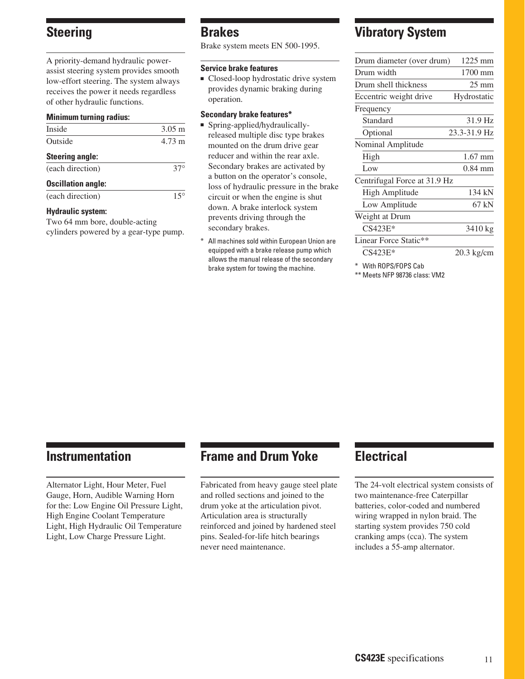## **Steering**

A priority-demand hydraulic powerassist steering system provides smooth low-effort steering. The system always receives the power it needs regardless of other hydraulic functions.

#### **Minimum turning radius:**

| Inside                    | $3.05 \text{ m}$ |
|---------------------------|------------------|
| Outside                   | $4.73 \text{ m}$ |
| <b>Steering angle:</b>    |                  |
| (each direction)          | $37^\circ$       |
| <b>Oscillation angle:</b> |                  |
| (each direction)          |                  |

#### **Hydraulic system:**

Two 64 mm bore, double-acting cylinders powered by a gear-type pump.

## **Brakes**

Brake system meets EN 500-1995.

#### **Service brake features**

■ Closed-loop hydrostatic drive system provides dynamic braking during operation.

#### **Secondary brake features\***

- Spring-applied/hydraulicallyreleased multiple disc type brakes mounted on the drum drive gear reducer and within the rear axle. Secondary brakes are activated by a button on the operator's console, loss of hydraulic pressure in the brake circuit or when the engine is shut down. A brake interlock system prevents driving through the secondary brakes.
- All machines sold within European Union are equipped with a brake release pump which allows the manual release of the secondary brake system for towing the machine.

## **Vibratory System**

| Drum diameter (over drum)    | 1225 mm         |
|------------------------------|-----------------|
| Drum width                   | 1700 mm         |
| Drum shell thickness         | $25 \text{ mm}$ |
| Eccentric weight drive       | Hydrostatic     |
| Frequency                    |                 |
| Standard                     | 31.9 Hz         |
| Optional                     | 23.3-31.9 Hz    |
| Nominal Amplitude            |                 |
| High                         | $1.67$ mm       |
| Low                          | $0.84$ mm       |
| Centrifugal Force at 31.9 Hz |                 |
| High Amplitude               | 134 kN          |
| Low Amplitude                | 67 kN           |
| Weight at Drum               |                 |
| $CS423E*$                    | 3410 kg         |
| Linear Force Static**        |                 |
| $CS423E*$                    | 20.3 kg/cm      |

\* With ROPS/FOPS Cab

\*\* Meets NFP 98736 class: VM2

## **Instrumentation**

Alternator Light, Hour Meter, Fuel Gauge, Horn, Audible Warning Horn for the: Low Engine Oil Pressure Light, High Engine Coolant Temperature Light, High Hydraulic Oil Temperature Light, Low Charge Pressure Light.

## **Frame and Drum Yoke**

Fabricated from heavy gauge steel plate and rolled sections and joined to the drum yoke at the articulation pivot. Articulation area is structurally reinforced and joined by hardened steel pins. Sealed-for-life hitch bearings never need maintenance.

## **Electrical**

The 24-volt electrical system consists of two maintenance-free Caterpillar batteries, color-coded and numbered wiring wrapped in nylon braid. The starting system provides 750 cold cranking amps (cca). The system includes a 55-amp alternator.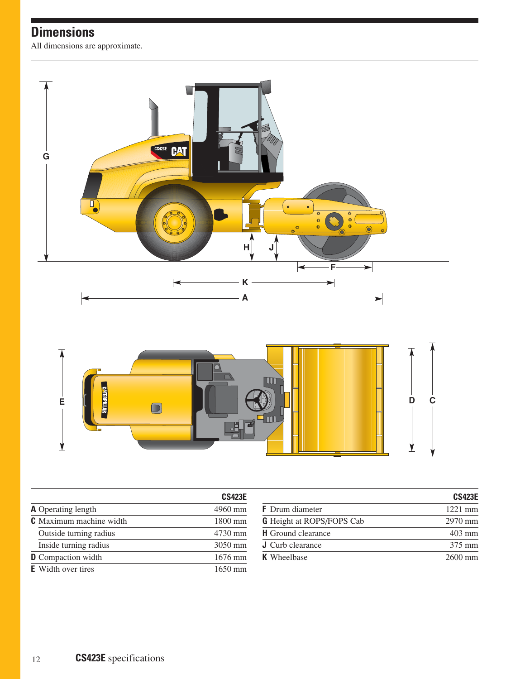# **Dimensions**

All dimensions are approximate.



|                                | <b>CS423E</b>     |                                  | <b>CS423E</b> |
|--------------------------------|-------------------|----------------------------------|---------------|
| <b>A</b> Operating length      | 4960 mm           | <b>F</b> Drum diameter           | $1221$ mm     |
| <b>C</b> Maximum machine width | 1800 mm           | <b>G</b> Height at ROPS/FOPS Cab | $2970$ mm     |
| Outside turning radius         | 4730 mm           | <b>H</b> Ground clearance        | $403$ mm      |
| Inside turning radius          | 3050 mm           | <b>J</b> Curb clearance          | 375 mm        |
| <b>D</b> Compaction width      | 1676 mm           | <b>K</b> Wheelbase               | $2600$ mm     |
| <b>E</b> Width over tires      | $1650 \text{ mm}$ |                                  |               |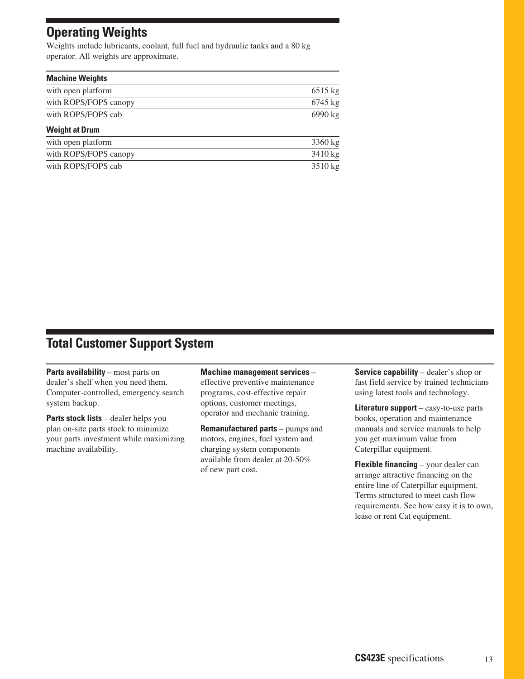# **Operating Weights**

Weights include lubricants, coolant, full fuel and hydraulic tanks and a 80 kg operator. All weights are approximate.

| <b>Machine Weights</b> |           |
|------------------------|-----------|
| with open platform     | 6515 kg   |
| with ROPS/FOPS canopy  | $6745$ kg |
| with ROPS/FOPS cab     | 6990 kg   |
| <b>Weight at Drum</b>  |           |
| with open platform     | 3360 kg   |
| with ROPS/FOPS canopy  | 3410 kg   |
| with ROPS/FOPS cab     | 3510 kg   |

## **Total Customer Support System**

**Parts availability** – most parts on dealer's shelf when you need them. Computer-controlled, emergency search system backup.

**Parts stock lists** – dealer helps you plan on-site parts stock to minimize your parts investment while maximizing machine availability.

#### **Machine management services** –

effective preventive maintenance programs, cost-effective repair options, customer meetings, operator and mechanic training.

**Remanufactured parts** – pumps and motors, engines, fuel system and charging system components available from dealer at 20-50% of new part cost.

**Service capability** – dealer's shop or fast field service by trained technicians using latest tools and technology.

**Literature support** – easy-to-use parts books, operation and maintenance manuals and service manuals to help you get maximum value from Caterpillar equipment.

**Flexible financing** – your dealer can arrange attractive financing on the entire line of Caterpillar equipment. Terms structured to meet cash flow requirements. See how easy it is to own, lease or rent Cat equipment.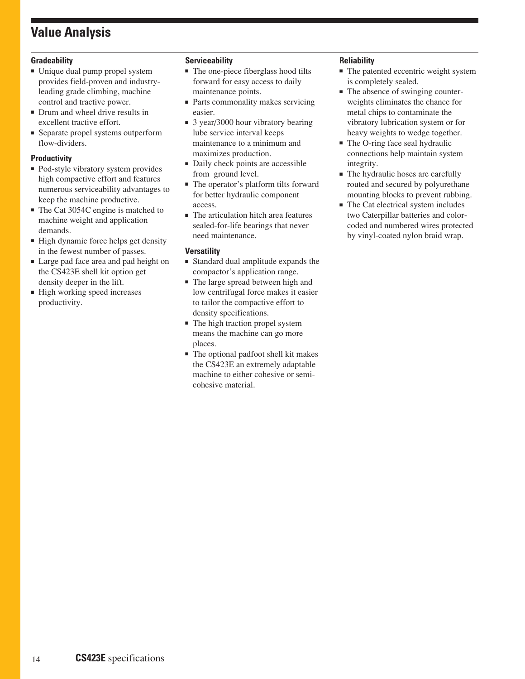# **Value Analysis**

## **Gradeability**

- Unique dual pump propel system provides field-proven and industryleading grade climbing, machine control and tractive power.
- Drum and wheel drive results in excellent tractive effort.
- Separate propel systems outperform flow-dividers.

## **Productivity**

- Pod-style vibratory system provides high compactive effort and features numerous serviceability advantages to keep the machine productive.
- The Cat 3054C engine is matched to machine weight and application demands.
- High dynamic force helps get density in the fewest number of passes.
- Large pad face area and pad height on the CS423E shell kit option get density deeper in the lift.
- High working speed increases productivity.

## **Serviceability**

- The one-piece fiberglass hood tilts forward for easy access to daily maintenance points.
- Parts commonality makes servicing easier.
- 3 year/3000 hour vibratory bearing lube service interval keeps maintenance to a minimum and maximizes production.
- Daily check points are accessible from ground level.
- The operator's platform tilts forward for better hydraulic component access.
- The articulation hitch area features sealed-for-life bearings that never need maintenance.

#### **Versatility**

- Standard dual amplitude expands the compactor's application range.
- The large spread between high and low centrifugal force makes it easier to tailor the compactive effort to density specifications.
- The high traction propel system means the machine can go more places.
- The optional padfoot shell kit makes the CS423E an extremely adaptable machine to either cohesive or semicohesive material.

#### **Reliability**

- The patented eccentric weight system is completely sealed.
- The absence of swinging counterweights eliminates the chance for metal chips to contaminate the vibratory lubrication system or for heavy weights to wedge together.
- The O-ring face seal hydraulic connections help maintain system integrity.
- The hydraulic hoses are carefully routed and secured by polyurethane mounting blocks to prevent rubbing.
- The Cat electrical system includes two Caterpillar batteries and colorcoded and numbered wires protected by vinyl-coated nylon braid wrap.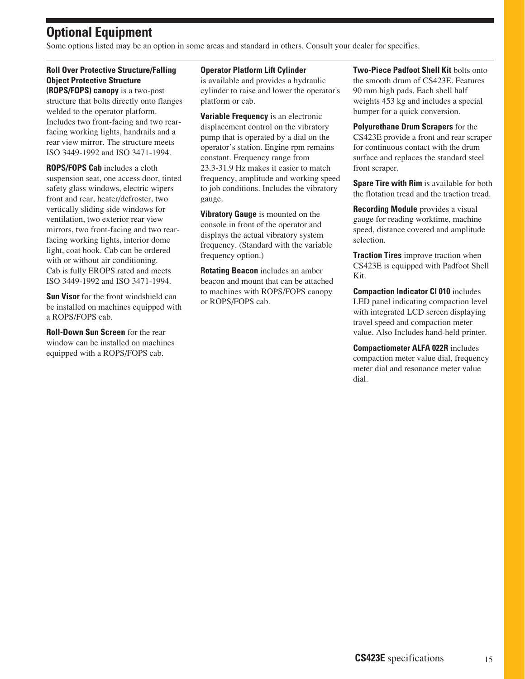# **Optional Equipment**

Some options listed may be an option in some areas and standard in others. Consult your dealer for specifics.

## **Roll Over Protective Structure/Falling Object Protective Structure**

**(ROPS/FOPS) canopy** is a two-post structure that bolts directly onto flanges welded to the operator platform. Includes two front-facing and two rearfacing working lights, handrails and a rear view mirror. The structure meets ISO 3449-1992 and ISO 3471-1994.

**ROPS/FOPS Cab** includes a cloth suspension seat, one access door, tinted safety glass windows, electric wipers front and rear, heater/defroster, two vertically sliding side windows for ventilation, two exterior rear view mirrors, two front-facing and two rearfacing working lights, interior dome light, coat hook. Cab can be ordered with or without air conditioning. Cab is fully EROPS rated and meets ISO 3449-1992 and ISO 3471-1994.

**Sun Visor** for the front windshield can be installed on machines equipped with a ROPS/FOPS cab.

**Roll-Down Sun Screen** for the rear window can be installed on machines equipped with a ROPS/FOPS cab.

#### **Operator Platform Lift Cylinder**

is available and provides a hydraulic cylinder to raise and lower the operator's platform or cab.

**Variable Frequency** is an electronic displacement control on the vibratory pump that is operated by a dial on the operator's station. Engine rpm remains constant. Frequency range from 23.3-31.9 Hz makes it easier to match frequency, amplitude and working speed to job conditions. Includes the vibratory gauge.

**Vibratory Gauge** is mounted on the console in front of the operator and displays the actual vibratory system frequency. (Standard with the variable frequency option.)

**Rotating Beacon** includes an amber beacon and mount that can be attached to machines with ROPS/FOPS canopy or ROPS/FOPS cab.

**Two-Piece Padfoot Shell Kit** bolts onto the smooth drum of CS423E. Features 90 mm high pads. Each shell half weights 453 kg and includes a special bumper for a quick conversion.

**Polyurethane Drum Scrapers** for the CS423E provide a front and rear scraper for continuous contact with the drum surface and replaces the standard steel front scraper.

**Spare Tire with Rim** is available for both the flotation tread and the traction tread.

**Recording Module** provides a visual gauge for reading worktime, machine speed, distance covered and amplitude selection.

**Traction Tires** improve traction when CS423E is equipped with Padfoot Shell Kit.

**Compaction Indicator CI 010** includes LED panel indicating compaction level with integrated LCD screen displaying travel speed and compaction meter value. Also Includes hand-held printer.

**Compactiometer ALFA 022R** includes compaction meter value dial, frequency meter dial and resonance meter value dial.